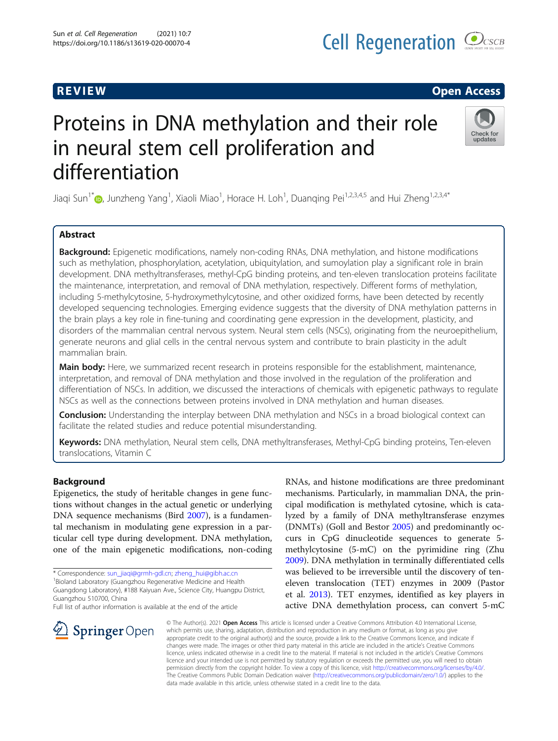# **Cell Regeneration COCSCB**

# R EVI EW Open Access

# Proteins in DNA methylation and their role in neural stem cell proliferation and differentiation



Jiaqi Sun<sup>1\*</sup>®[,](http://orcid.org/0000-0003-3625-4662) Junzheng Yang<sup>1</sup>, Xiaoli Miao<sup>1</sup>, Horace H. Loh<sup>1</sup>, Duanqing Pei<sup>1,2,3,4,5</sup> and Hui Zheng<sup>1,2,3,4\*</sup>

# Abstract

Background: Epigenetic modifications, namely non-coding RNAs, DNA methylation, and histone modifications such as methylation, phosphorylation, acetylation, ubiquitylation, and sumoylation play a significant role in brain development. DNA methyltransferases, methyl-CpG binding proteins, and ten-eleven translocation proteins facilitate the maintenance, interpretation, and removal of DNA methylation, respectively. Different forms of methylation, including 5-methylcytosine, 5-hydroxymethylcytosine, and other oxidized forms, have been detected by recently developed sequencing technologies. Emerging evidence suggests that the diversity of DNA methylation patterns in the brain plays a key role in fine-tuning and coordinating gene expression in the development, plasticity, and disorders of the mammalian central nervous system. Neural stem cells (NSCs), originating from the neuroepithelium, generate neurons and glial cells in the central nervous system and contribute to brain plasticity in the adult mammalian brain.

Main body: Here, we summarized recent research in proteins responsible for the establishment, maintenance, interpretation, and removal of DNA methylation and those involved in the regulation of the proliferation and differentiation of NSCs. In addition, we discussed the interactions of chemicals with epigenetic pathways to regulate NSCs as well as the connections between proteins involved in DNA methylation and human diseases.

**Conclusion:** Understanding the interplay between DNA methylation and NSCs in a broad biological context can facilitate the related studies and reduce potential misunderstanding.

Keywords: DNA methylation, Neural stem cells, DNA methyltransferases, Methyl-CpG binding proteins, Ten-eleven translocations, Vitamin C

# Background

Epigenetics, the study of heritable changes in gene functions without changes in the actual genetic or underlying DNA sequence mechanisms (Bird [2007\)](#page-9-0), is a fundamental mechanism in modulating gene expression in a particular cell type during development. DNA methylation, one of the main epigenetic modifications, non-coding

\* Correspondence: [sun\\_jiaqi@grmh-gdl.cn](mailto:sun_jiaqi@grmh-gdl.cn); [zheng\\_hui@gibh.ac.cn](mailto:zheng_hui@gibh.ac.cn) <sup>1</sup>

Guangdong Laboratory), #188 Kaiyuan Ave., Science City, Huangpu District, Guangzhou 510700, China

Full list of author information is available at the end of the article



RNAs, and histone modifications are three predominant mechanisms. Particularly, in mammalian DNA, the principal modification is methylated cytosine, which is catalyzed by a family of DNA methyltransferase enzymes (DNMTs) (Goll and Bestor [2005\)](#page-9-0) and predominantly occurs in CpG dinucleotide sequences to generate 5 methylcytosine (5-mC) on the pyrimidine ring (Zhu [2009](#page-11-0)). DNA methylation in terminally differentiated cells was believed to be irreversible until the discovery of teneleven translocation (TET) enzymes in 2009 (Pastor et al. [2013\)](#page-10-0). TET enzymes, identified as key players in active DNA demethylation process, can convert 5-mC

© The Author(s). 2021 Open Access This article is licensed under a Creative Commons Attribution 4.0 International License, which permits use, sharing, adaptation, distribution and reproduction in any medium or format, as long as you give appropriate credit to the original author(s) and the source, provide a link to the Creative Commons licence, and indicate if changes were made. The images or other third party material in this article are included in the article's Creative Commons licence, unless indicated otherwise in a credit line to the material. If material is not included in the article's Creative Commons licence and your intended use is not permitted by statutory regulation or exceeds the permitted use, you will need to obtain permission directly from the copyright holder. To view a copy of this licence, visit <http://creativecommons.org/licenses/by/4.0/>. The Creative Commons Public Domain Dedication waiver ([http://creativecommons.org/publicdomain/zero/1.0/\)](http://creativecommons.org/publicdomain/zero/1.0/) applies to the data made available in this article, unless otherwise stated in a credit line to the data.

<sup>&</sup>lt;sup>1</sup> Bioland Laboratory (Guangzhou Regenerative Medicine and Health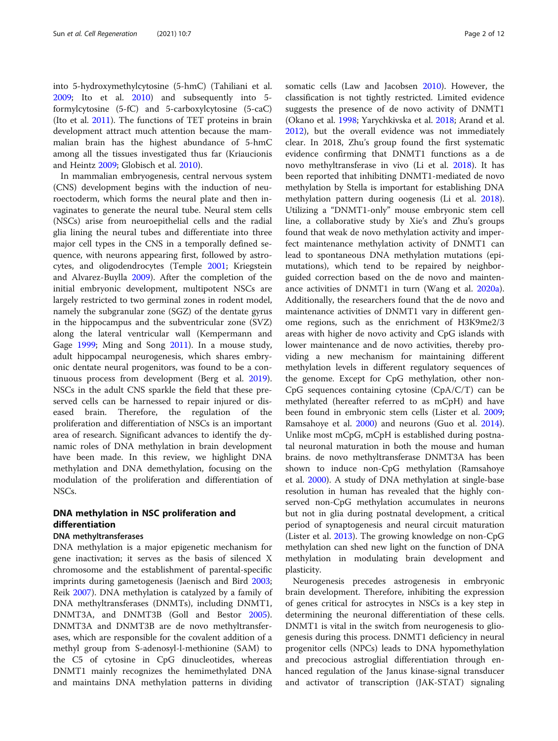into 5-hydroxymethylcytosine (5-hmC) (Tahiliani et al. [2009](#page-10-0); Ito et al. [2010\)](#page-9-0) and subsequently into 5 formylcytosine (5-fC) and 5-carboxylcytosine (5-caC) (Ito et al. [2011\)](#page-9-0). The functions of TET proteins in brain development attract much attention because the mammalian brain has the highest abundance of 5-hmC among all the tissues investigated thus far (Kriaucionis and Heintz [2009;](#page-10-0) Globisch et al. [2010\)](#page-9-0).

In mammalian embryogenesis, central nervous system (CNS) development begins with the induction of neuroectoderm, which forms the neural plate and then invaginates to generate the neural tube. Neural stem cells (NSCs) arise from neuroepithelial cells and the radial glia lining the neural tubes and differentiate into three major cell types in the CNS in a temporally defined sequence, with neurons appearing first, followed by astrocytes, and oligodendrocytes (Temple [2001](#page-11-0); Kriegstein and Alvarez-Buylla [2009](#page-10-0)). After the completion of the initial embryonic development, multipotent NSCs are largely restricted to two germinal zones in rodent model, namely the subgranular zone (SGZ) of the dentate gyrus in the hippocampus and the subventricular zone (SVZ) along the lateral ventricular wall (Kempermann and Gage [1999](#page-9-0); Ming and Song [2011](#page-10-0)). In a mouse study, adult hippocampal neurogenesis, which shares embryonic dentate neural progenitors, was found to be a continuous process from development (Berg et al. [2019](#page-9-0)). NSCs in the adult CNS sparkle the field that these preserved cells can be harnessed to repair injured or diseased brain. Therefore, the regulation of the proliferation and differentiation of NSCs is an important area of research. Significant advances to identify the dynamic roles of DNA methylation in brain development have been made. In this review, we highlight DNA methylation and DNA demethylation, focusing on the modulation of the proliferation and differentiation of NSCs.

# DNA methylation in NSC proliferation and differentiation

# DNA methyltransferases

DNA methylation is a major epigenetic mechanism for gene inactivation; it serves as the basis of silenced X chromosome and the establishment of parental-specific imprints during gametogenesis (Jaenisch and Bird [2003](#page-9-0); Reik [2007\)](#page-10-0). DNA methylation is catalyzed by a family of DNA methyltransferases (DNMTs), including DNMT1, DNMT3A, and DNMT3B (Goll and Bestor [2005](#page-9-0)). DNMT3A and DNMT3B are de novo methyltransferases, which are responsible for the covalent addition of a methyl group from S-adenosyl-l-methionine (SAM) to the C5 of cytosine in CpG dinucleotides, whereas DNMT1 mainly recognizes the hemimethylated DNA and maintains DNA methylation patterns in dividing somatic cells (Law and Jacobsen [2010](#page-10-0)). However, the classification is not tightly restricted. Limited evidence suggests the presence of de novo activity of DNMT1 (Okano et al. [1998;](#page-10-0) Yarychkivska et al. [2018;](#page-11-0) Arand et al. [2012](#page-9-0)), but the overall evidence was not immediately clear. In 2018, Zhu's group found the first systematic evidence confirming that DNMT1 functions as a de novo methyltransferase in vivo (Li et al. [2018](#page-10-0)). It has been reported that inhibiting DNMT1-mediated de novo methylation by Stella is important for establishing DNA methylation pattern during oogenesis (Li et al. [2018](#page-10-0)). Utilizing a "DNMT1-only" mouse embryonic stem cell line, a collaborative study by Xie's and Zhu's groups found that weak de novo methylation activity and imperfect maintenance methylation activity of DNMT1 can lead to spontaneous DNA methylation mutations (epimutations), which tend to be repaired by neighborguided correction based on the de novo and maintenance activities of DNMT1 in turn (Wang et al. [2020a](#page-11-0)). Additionally, the researchers found that the de novo and maintenance activities of DNMT1 vary in different genome regions, such as the enrichment of H3K9me2/3 areas with higher de novo activity and CpG islands with lower maintenance and de novo activities, thereby providing a new mechanism for maintaining different methylation levels in different regulatory sequences of the genome. Except for CpG methylation, other non-CpG sequences containing cytosine (CpA/C/T) can be methylated (hereafter referred to as mCpH) and have been found in embryonic stem cells (Lister et al. [2009](#page-10-0); Ramsahoye et al. [2000\)](#page-10-0) and neurons (Guo et al. [2014](#page-9-0)). Unlike most mCpG, mCpH is established during postnatal neuronal maturation in both the mouse and human brains. de novo methyltransferase DNMT3A has been shown to induce non-CpG methylation (Ramsahoye et al. [2000](#page-10-0)). A study of DNA methylation at single-base resolution in human has revealed that the highly conserved non-CpG methylation accumulates in neurons but not in glia during postnatal development, a critical period of synaptogenesis and neural circuit maturation (Lister et al. [2013](#page-10-0)). The growing knowledge on non-CpG methylation can shed new light on the function of DNA methylation in modulating brain development and plasticity.

Neurogenesis precedes astrogenesis in embryonic brain development. Therefore, inhibiting the expression of genes critical for astrocytes in NSCs is a key step in determining the neuronal differentiation of these cells. DNMT1 is vital in the switch from neurogenesis to gliogenesis during this process. DNMT1 deficiency in neural progenitor cells (NPCs) leads to DNA hypomethylation and precocious astroglial differentiation through enhanced regulation of the Janus kinase-signal transducer and activator of transcription (JAK-STAT) signaling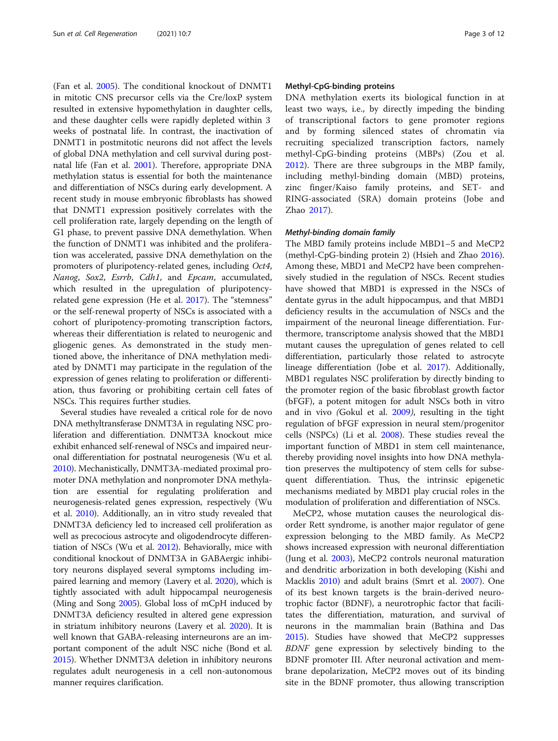(Fan et al. [2005\)](#page-9-0). The conditional knockout of DNMT1 in mitotic CNS precursor cells via the Cre/loxP system resulted in extensive hypomethylation in daughter cells, and these daughter cells were rapidly depleted within 3 weeks of postnatal life. In contrast, the inactivation of DNMT1 in postmitotic neurons did not affect the levels of global DNA methylation and cell survival during postnatal life (Fan et al. [2001\)](#page-9-0). Therefore, appropriate DNA methylation status is essential for both the maintenance and differentiation of NSCs during early development. A recent study in mouse embryonic fibroblasts has showed that DNMT1 expression positively correlates with the cell proliferation rate, largely depending on the length of G1 phase, to prevent passive DNA demethylation. When the function of DNMT1 was inhibited and the proliferation was accelerated, passive DNA demethylation on the promoters of pluripotency-related genes, including Oct4, Nanog, Sox2, Esrrb, Cdh1, and Epcam, accumulated, which resulted in the upregulation of pluripotencyrelated gene expression (He et al. [2017](#page-9-0)). The "stemness" or the self-renewal property of NSCs is associated with a cohort of pluripotency-promoting transcription factors, whereas their differentiation is related to neurogenic and gliogenic genes. As demonstrated in the study mentioned above, the inheritance of DNA methylation mediated by DNMT1 may participate in the regulation of the expression of genes relating to proliferation or differentiation, thus favoring or prohibiting certain cell fates of NSCs. This requires further studies.

Several studies have revealed a critical role for de novo DNA methyltransferase DNMT3A in regulating NSC proliferation and differentiation. DNMT3A knockout mice exhibit enhanced self-renewal of NSCs and impaired neuronal differentiation for postnatal neurogenesis (Wu et al. [2010\)](#page-11-0). Mechanistically, DNMT3A-mediated proximal promoter DNA methylation and nonpromoter DNA methylation are essential for regulating proliferation and neurogenesis-related genes expression, respectively (Wu et al. [2010](#page-11-0)). Additionally, an in vitro study revealed that DNMT3A deficiency led to increased cell proliferation as well as precocious astrocyte and oligodendrocyte differentiation of NSCs (Wu et al. [2012](#page-11-0)). Behaviorally, mice with conditional knockout of DNMT3A in GABAergic inhibitory neurons displayed several symptoms including impaired learning and memory (Lavery et al. [2020\)](#page-10-0), which is tightly associated with adult hippocampal neurogenesis (Ming and Song [2005\)](#page-10-0). Global loss of mCpH induced by DNMT3A deficiency resulted in altered gene expression in striatum inhibitory neurons (Lavery et al. [2020](#page-10-0)). It is well known that GABA-releasing interneurons are an important component of the adult NSC niche (Bond et al. [2015\)](#page-9-0). Whether DNMT3A deletion in inhibitory neurons regulates adult neurogenesis in a cell non-autonomous manner requires clarification.

### Methyl-CpG-binding proteins

DNA methylation exerts its biological function in at least two ways, i.e., by directly impeding the binding of transcriptional factors to gene promoter regions and by forming silenced states of chromatin via recruiting specialized transcription factors, namely methyl-CpG-binding proteins (MBPs) (Zou et al. [2012\)](#page-11-0). There are three subgroups in the MBP family, including methyl-binding domain (MBD) proteins, zinc finger/Kaiso family proteins, and SET- and RING-associated (SRA) domain proteins (Jobe and Zhao [2017\)](#page-9-0).

### Methyl-binding domain family

The MBD family proteins include MBD1–5 and MeCP2 (methyl-CpG-binding protein 2) (Hsieh and Zhao [2016](#page-9-0)). Among these, MBD1 and MeCP2 have been comprehensively studied in the regulation of NSCs. Recent studies have showed that MBD1 is expressed in the NSCs of dentate gyrus in the adult hippocampus, and that MBD1 deficiency results in the accumulation of NSCs and the impairment of the neuronal lineage differentiation. Furthermore, transcriptome analysis showed that the MBD1 mutant causes the upregulation of genes related to cell differentiation, particularly those related to astrocyte lineage differentiation (Jobe et al. [2017\)](#page-9-0). Additionally, MBD1 regulates NSC proliferation by directly binding to the promoter region of the basic fibroblast growth factor (bFGF), a potent mitogen for adult NSCs both in vitro and in vivo (Gokul et al. [2009](#page-9-0)), resulting in the tight regulation of bFGF expression in neural stem/progenitor cells (NSPCs) (Li et al. [2008](#page-10-0)). These studies reveal the important function of MBD1 in stem cell maintenance, thereby providing novel insights into how DNA methylation preserves the multipotency of stem cells for subsequent differentiation. Thus, the intrinsic epigenetic mechanisms mediated by MBD1 play crucial roles in the modulation of proliferation and differentiation of NSCs.

MeCP2, whose mutation causes the neurological disorder Rett syndrome, is another major regulator of gene expression belonging to the MBD family. As MeCP2 shows increased expression with neuronal differentiation (Jung et al. [2003](#page-9-0)), MeCP2 controls neuronal maturation and dendritic arborization in both developing (Kishi and Macklis [2010](#page-9-0)) and adult brains (Smrt et al. [2007\)](#page-10-0). One of its best known targets is the brain-derived neurotrophic factor (BDNF), a neurotrophic factor that facilitates the differentiation, maturation, and survival of neurons in the mammalian brain (Bathina and Das [2015](#page-9-0)). Studies have showed that MeCP2 suppresses BDNF gene expression by selectively binding to the BDNF promoter III. After neuronal activation and membrane depolarization, MeCP2 moves out of its binding site in the BDNF promoter, thus allowing transcription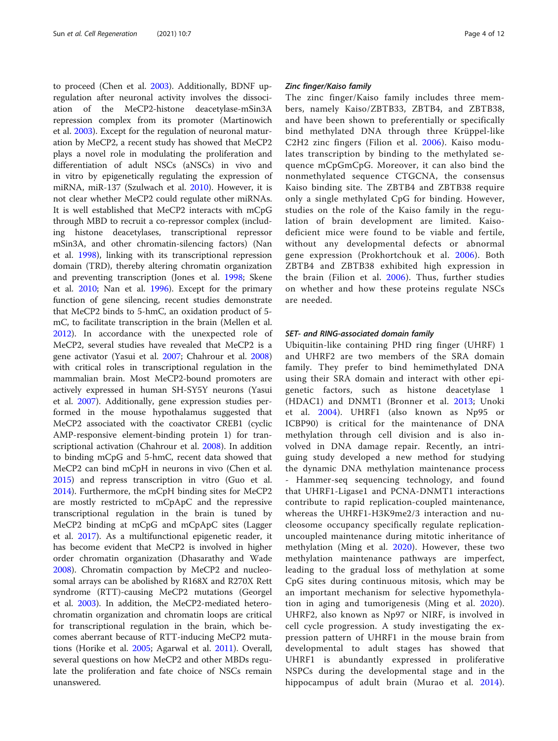to proceed (Chen et al. [2003](#page-9-0)). Additionally, BDNF upregulation after neuronal activity involves the dissociation of the MeCP2-histone deacetylase-mSin3A repression complex from its promoter (Martinowich et al. [2003\)](#page-10-0). Except for the regulation of neuronal maturation by MeCP2, a recent study has showed that MeCP2 plays a novel role in modulating the proliferation and differentiation of adult NSCs (aNSCs) in vivo and in vitro by epigenetically regulating the expression of miRNA, miR-137 (Szulwach et al. [2010\)](#page-10-0). However, it is not clear whether MeCP2 could regulate other miRNAs. It is well established that MeCP2 interacts with mCpG through MBD to recruit a co-repressor complex (including histone deacetylases, transcriptional repressor mSin3A, and other chromatin-silencing factors) (Nan et al. [1998](#page-10-0)), linking with its transcriptional repression domain (TRD), thereby altering chromatin organization and preventing transcription (Jones et al. [1998](#page-9-0); Skene et al. [2010](#page-10-0); Nan et al. [1996](#page-10-0)). Except for the primary function of gene silencing, recent studies demonstrate that MeCP2 binds to 5-hmC, an oxidation product of 5 mC, to facilitate transcription in the brain (Mellen et al. [2012](#page-10-0)). In accordance with the unexpected role of MeCP2, several studies have revealed that MeCP2 is a gene activator (Yasui et al. [2007](#page-11-0); Chahrour et al. [2008](#page-9-0)) with critical roles in transcriptional regulation in the mammalian brain. Most MeCP2-bound promoters are actively expressed in human SH-SY5Y neurons (Yasui et al. [2007](#page-11-0)). Additionally, gene expression studies performed in the mouse hypothalamus suggested that MeCP2 associated with the coactivator CREB1 (cyclic AMP-responsive element-binding protein 1) for transcriptional activation (Chahrour et al. [2008\)](#page-9-0). In addition to binding mCpG and 5-hmC, recent data showed that MeCP2 can bind mCpH in neurons in vivo (Chen et al. [2015](#page-9-0)) and repress transcription in vitro (Guo et al. [2014](#page-9-0)). Furthermore, the mCpH binding sites for MeCP2 are mostly restricted to mCpApC and the repressive transcriptional regulation in the brain is tuned by MeCP2 binding at mCpG and mCpApC sites (Lagger et al. [2017\)](#page-10-0). As a multifunctional epigenetic reader, it has become evident that MeCP2 is involved in higher order chromatin organization (Dhasarathy and Wade [2008](#page-9-0)). Chromatin compaction by MeCP2 and nucleosomal arrays can be abolished by R168X and R270X Rett syndrome (RTT)-causing MeCP2 mutations (Georgel et al. [2003\)](#page-9-0). In addition, the MeCP2-mediated heterochromatin organization and chromatin loops are critical for transcriptional regulation in the brain, which becomes aberrant because of RTT-inducing MeCP2 mutations (Horike et al. [2005;](#page-9-0) Agarwal et al. [2011](#page-8-0)). Overall, several questions on how MeCP2 and other MBDs regulate the proliferation and fate choice of NSCs remain unanswered.

#### Zinc finger/Kaiso family

The zinc finger/Kaiso family includes three members, namely Kaiso/ZBTB33, ZBTB4, and ZBTB38, and have been shown to preferentially or specifically bind methylated DNA through three Krüppel-like C2H2 zinc fingers (Filion et al. [2006](#page-9-0)). Kaiso modulates transcription by binding to the methylated sequence mCpGmCpG. Moreover, it can also bind the nonmethylated sequence CTGCNA, the consensus Kaiso binding site. The ZBTB4 and ZBTB38 require only a single methylated CpG for binding. However, studies on the role of the Kaiso family in the regulation of brain development are limited. Kaisodeficient mice were found to be viable and fertile, without any developmental defects or abnormal gene expression (Prokhortchouk et al. [2006\)](#page-10-0). Both ZBTB4 and ZBTB38 exhibited high expression in the brain (Filion et al. [2006](#page-9-0)). Thus, further studies on whether and how these proteins regulate NSCs are needed.

### SET- and RING-associated domain family

Ubiquitin-like containing PHD ring finger (UHRF) 1 and UHRF2 are two members of the SRA domain family. They prefer to bind hemimethylated DNA using their SRA domain and interact with other epigenetic factors, such as histone deacetylase 1 (HDAC1) and DNMT1 (Bronner et al. [2013](#page-9-0); Unoki et al. [2004\)](#page-11-0). UHRF1 (also known as Np95 or ICBP90) is critical for the maintenance of DNA methylation through cell division and is also involved in DNA damage repair. Recently, an intriguing study developed a new method for studying the dynamic DNA methylation maintenance process - Hammer-seq sequencing technology, and found that UHRF1-Ligase1 and PCNA-DNMT1 interactions contribute to rapid replication-coupled maintenance, whereas the UHRF1-H3K9me2/3 interaction and nucleosome occupancy specifically regulate replicationuncoupled maintenance during mitotic inheritance of methylation (Ming et al. [2020\)](#page-10-0). However, these two methylation maintenance pathways are imperfect, leading to the gradual loss of methylation at some CpG sites during continuous mitosis, which may be an important mechanism for selective hypomethylation in aging and tumorigenesis (Ming et al. [2020](#page-10-0)). UHRF2, also known as Np97 or NIRF, is involved in cell cycle progression. A study investigating the expression pattern of UHRF1 in the mouse brain from developmental to adult stages has showed that UHRF1 is abundantly expressed in proliferative NSPCs during the developmental stage and in the hippocampus of adult brain (Murao et al. [2014](#page-10-0)).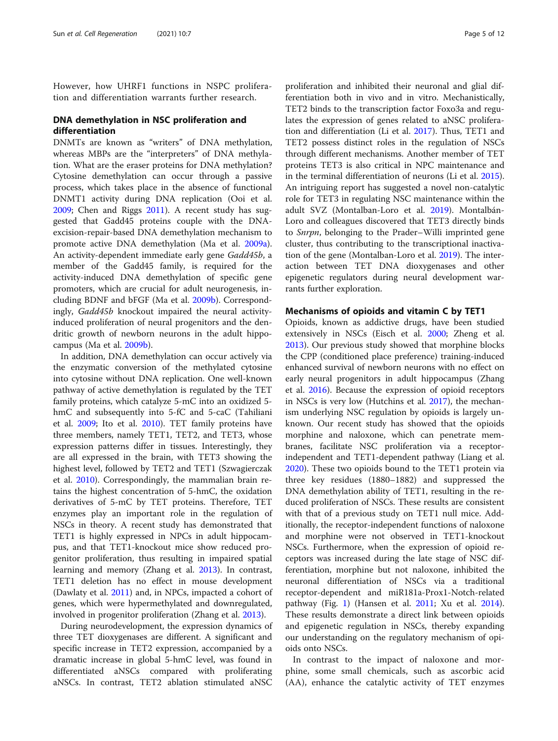However, how UHRF1 functions in NSPC proliferation and differentiation warrants further research.

# DNA demethylation in NSC proliferation and differentiation

DNMTs are known as "writers" of DNA methylation, whereas MBPs are the "interpreters" of DNA methylation. What are the eraser proteins for DNA methylation? Cytosine demethylation can occur through a passive process, which takes place in the absence of functional DNMT1 activity during DNA replication (Ooi et al. [2009](#page-10-0); Chen and Riggs [2011\)](#page-9-0). A recent study has suggested that Gadd45 proteins couple with the DNAexcision-repair-based DNA demethylation mechanism to promote active DNA demethylation (Ma et al. [2009a](#page-10-0)). An activity-dependent immediate early gene Gadd45b, a member of the Gadd45 family, is required for the activity-induced DNA demethylation of specific gene promoters, which are crucial for adult neurogenesis, including BDNF and bFGF (Ma et al. [2009b](#page-10-0)). Correspondingly, Gadd45b knockout impaired the neural activityinduced proliferation of neural progenitors and the dendritic growth of newborn neurons in the adult hippocampus (Ma et al. [2009b\)](#page-10-0).

In addition, DNA demethylation can occur actively via the enzymatic conversion of the methylated cytosine into cytosine without DNA replication. One well-known pathway of active demethylation is regulated by the TET family proteins, which catalyze 5-mC into an oxidized 5 hmC and subsequently into 5-fC and 5-caC (Tahiliani et al. [2009](#page-10-0); Ito et al. [2010](#page-9-0)). TET family proteins have three members, namely TET1, TET2, and TET3, whose expression patterns differ in tissues. Interestingly, they are all expressed in the brain, with TET3 showing the highest level, followed by TET2 and TET1 (Szwagierczak et al. [2010](#page-10-0)). Correspondingly, the mammalian brain retains the highest concentration of 5-hmC, the oxidation derivatives of 5-mC by TET proteins. Therefore, TET enzymes play an important role in the regulation of NSCs in theory. A recent study has demonstrated that TET1 is highly expressed in NPCs in adult hippocampus, and that TET1-knockout mice show reduced progenitor proliferation, thus resulting in impaired spatial learning and memory (Zhang et al. [2013\)](#page-11-0). In contrast, TET1 deletion has no effect in mouse development (Dawlaty et al. [2011](#page-9-0)) and, in NPCs, impacted a cohort of genes, which were hypermethylated and downregulated, involved in progenitor proliferation (Zhang et al. [2013\)](#page-11-0).

During neurodevelopment, the expression dynamics of three TET dioxygenases are different. A significant and specific increase in TET2 expression, accompanied by a dramatic increase in global 5-hmC level, was found in differentiated aNSCs compared with proliferating aNSCs. In contrast, TET2 ablation stimulated aNSC

proliferation and inhibited their neuronal and glial differentiation both in vivo and in vitro. Mechanistically, TET2 binds to the transcription factor Foxo3a and regulates the expression of genes related to aNSC proliferation and differentiation (Li et al. [2017\)](#page-10-0). Thus, TET1 and TET2 possess distinct roles in the regulation of NSCs through different mechanisms. Another member of TET proteins TET3 is also critical in NPC maintenance and in the terminal differentiation of neurons (Li et al. [2015](#page-10-0)). An intriguing report has suggested a novel non-catalytic role for TET3 in regulating NSC maintenance within the adult SVZ (Montalban-Loro et al. [2019](#page-10-0)). Montalbán-Loro and colleagues discovered that TET3 directly binds to Snrpn, belonging to the Prader–Willi imprinted gene cluster, thus contributing to the transcriptional inactivation of the gene (Montalban-Loro et al. [2019](#page-10-0)). The interaction between TET DNA dioxygenases and other epigenetic regulators during neural development warrants further exploration.

# Mechanisms of opioids and vitamin C by TET1

Opioids, known as addictive drugs, have been studied extensively in NSCs (Eisch et al. [2000](#page-9-0); Zheng et al. [2013](#page-11-0)). Our previous study showed that morphine blocks the CPP (conditioned place preference) training-induced enhanced survival of newborn neurons with no effect on early neural progenitors in adult hippocampus (Zhang et al. [2016](#page-11-0)). Because the expression of opioid receptors in NSCs is very low (Hutchins et al. [2017\)](#page-9-0), the mechanism underlying NSC regulation by opioids is largely unknown. Our recent study has showed that the opioids morphine and naloxone, which can penetrate membranes, facilitate NSC proliferation via a receptorindependent and TET1-dependent pathway (Liang et al. [2020](#page-10-0)). These two opioids bound to the TET1 protein via three key residues (1880–1882) and suppressed the DNA demethylation ability of TET1, resulting in the reduced proliferation of NSCs. These results are consistent with that of a previous study on TET1 null mice. Additionally, the receptor-independent functions of naloxone and morphine were not observed in TET1-knockout NSCs. Furthermore, when the expression of opioid receptors was increased during the late stage of NSC differentiation, morphine but not naloxone, inhibited the neuronal differentiation of NSCs via a traditional receptor-dependent and miR181a-Prox1-Notch-related pathway (Fig. [1\)](#page-5-0) (Hansen et al. [2011;](#page-9-0) Xu et al. [2014](#page-11-0)). These results demonstrate a direct link between opioids and epigenetic regulation in NSCs, thereby expanding our understanding on the regulatory mechanism of opioids onto NSCs.

In contrast to the impact of naloxone and morphine, some small chemicals, such as ascorbic acid (AA), enhance the catalytic activity of TET enzymes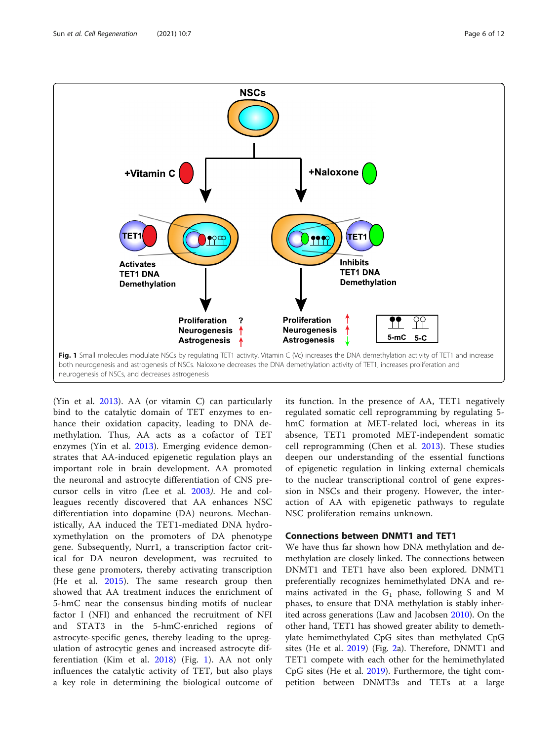<span id="page-5-0"></span>

(Yin et al. [2013](#page-11-0)). AA (or vitamin C) can particularly bind to the catalytic domain of TET enzymes to enhance their oxidation capacity, leading to DNA demethylation. Thus, AA acts as a cofactor of TET enzymes (Yin et al. [2013](#page-11-0)). Emerging evidence demonstrates that AA-induced epigenetic regulation plays an important role in brain development. AA promoted the neuronal and astrocyte differentiation of CNS precursor cells in vitro (Lee et al. [2003](#page-10-0)). He and colleagues recently discovered that AA enhances NSC differentiation into dopamine (DA) neurons. Mechanistically, AA induced the TET1-mediated DNA hydroxymethylation on the promoters of DA phenotype gene. Subsequently, Nurr1, a transcription factor critical for DA neuron development, was recruited to these gene promoters, thereby activating transcription (He et al. [2015\)](#page-9-0). The same research group then showed that AA treatment induces the enrichment of 5-hmC near the consensus binding motifs of nuclear factor I (NFI) and enhanced the recruitment of NFI and STAT3 in the 5-hmC-enriched regions of astrocyte-specific genes, thereby leading to the upregulation of astrocytic genes and increased astrocyte differentiation (Kim et al. [2018](#page-9-0)) (Fig. 1). AA not only influences the catalytic activity of TET, but also plays a key role in determining the biological outcome of

its function. In the presence of AA, TET1 negatively regulated somatic cell reprogramming by regulating 5 hmC formation at MET-related loci, whereas in its absence, TET1 promoted MET-independent somatic cell reprogramming (Chen et al. [2013](#page-9-0)). These studies deepen our understanding of the essential functions of epigenetic regulation in linking external chemicals to the nuclear transcriptional control of gene expression in NSCs and their progeny. However, the interaction of AA with epigenetic pathways to regulate NSC proliferation remains unknown.

# Connections between DNMT1 and TET1

We have thus far shown how DNA methylation and demethylation are closely linked. The connections between DNMT1 and TET1 have also been explored. DNMT1 preferentially recognizes hemimethylated DNA and remains activated in the  $G_1$  phase, following S and M phases, to ensure that DNA methylation is stably inherited across generations (Law and Jacobsen [2010](#page-10-0)). On the other hand, TET1 has showed greater ability to demethylate hemimethylated CpG sites than methylated CpG sites (He et al. [2019](#page-9-0)) (Fig. [2a](#page-6-0)). Therefore, DNMT1 and TET1 compete with each other for the hemimethylated CpG sites (He et al. [2019](#page-9-0)). Furthermore, the tight competition between DNMT3s and TETs at a large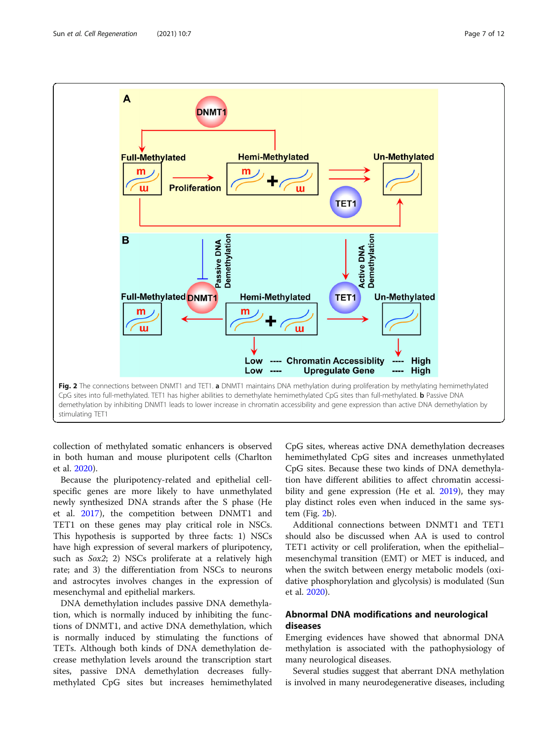

<span id="page-6-0"></span>

collection of methylated somatic enhancers is observed in both human and mouse pluripotent cells (Charlton et al. [2020\)](#page-9-0).

Because the pluripotency-related and epithelial cellspecific genes are more likely to have unmethylated newly synthesized DNA strands after the S phase (He et al. [2017](#page-9-0)), the competition between DNMT1 and TET1 on these genes may play critical role in NSCs. This hypothesis is supported by three facts: 1) NSCs have high expression of several markers of pluripotency, such as Sox2; 2) NSCs proliferate at a relatively high rate; and 3) the differentiation from NSCs to neurons and astrocytes involves changes in the expression of mesenchymal and epithelial markers.

DNA demethylation includes passive DNA demethylation, which is normally induced by inhibiting the functions of DNMT1, and active DNA demethylation, which is normally induced by stimulating the functions of TETs. Although both kinds of DNA demethylation decrease methylation levels around the transcription start sites, passive DNA demethylation decreases fullymethylated CpG sites but increases hemimethylated

CpG sites, whereas active DNA demethylation decreases hemimethylated CpG sites and increases unmethylated CpG sites. Because these two kinds of DNA demethylation have different abilities to affect chromatin accessi-bility and gene expression (He et al. [2019\)](#page-9-0), they may play distinct roles even when induced in the same system (Fig. 2b).

Additional connections between DNMT1 and TET1 should also be discussed when AA is used to control TET1 activity or cell proliferation, when the epithelial– mesenchymal transition (EMT) or MET is induced, and when the switch between energy metabolic models (oxidative phosphorylation and glycolysis) is modulated (Sun et al. [2020\)](#page-10-0).

# Abnormal DNA modifications and neurological diseases

Emerging evidences have showed that abnormal DNA methylation is associated with the pathophysiology of many neurological diseases.

Several studies suggest that aberrant DNA methylation is involved in many neurodegenerative diseases, including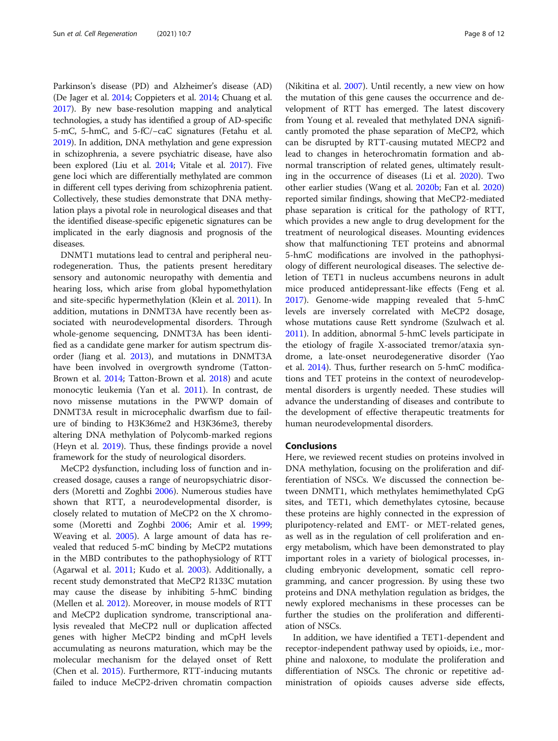Parkinson's disease (PD) and Alzheimer's disease (AD) (De Jager et al. [2014;](#page-9-0) Coppieters et al. [2014;](#page-9-0) Chuang et al. [2017\)](#page-9-0). By new base-resolution mapping and analytical technologies, a study has identified a group of AD-specific 5-mC, 5-hmC, and 5-fC/−caC signatures (Fetahu et al. [2019\)](#page-9-0). In addition, DNA methylation and gene expression in schizophrenia, a severe psychiatric disease, have also been explored (Liu et al. [2014](#page-10-0); Vitale et al. [2017](#page-11-0)). Five gene loci which are differentially methylated are common in different cell types deriving from schizophrenia patient. Collectively, these studies demonstrate that DNA methylation plays a pivotal role in neurological diseases and that the identified disease-specific epigenetic signatures can be implicated in the early diagnosis and prognosis of the diseases.

DNMT1 mutations lead to central and peripheral neurodegeneration. Thus, the patients present hereditary sensory and autonomic neuropathy with dementia and hearing loss, which arise from global hypomethylation and site-specific hypermethylation (Klein et al. [2011](#page-9-0)). In addition, mutations in DNMT3A have recently been associated with neurodevelopmental disorders. Through whole-genome sequencing, DNMT3A has been identified as a candidate gene marker for autism spectrum disorder (Jiang et al. [2013\)](#page-9-0), and mutations in DNMT3A have been involved in overgrowth syndrome (Tatton-Brown et al. [2014](#page-10-0); Tatton-Brown et al. [2018](#page-10-0)) and acute monocytic leukemia (Yan et al. [2011\)](#page-11-0). In contrast, de novo missense mutations in the PWWP domain of DNMT3A result in microcephalic dwarfism due to failure of binding to H3K36me2 and H3K36me3, thereby altering DNA methylation of Polycomb-marked regions (Heyn et al. [2019](#page-9-0)). Thus, these findings provide a novel framework for the study of neurological disorders.

MeCP2 dysfunction, including loss of function and increased dosage, causes a range of neuropsychiatric disorders (Moretti and Zoghbi [2006](#page-10-0)). Numerous studies have shown that RTT, a neurodevelopmental disorder, is closely related to mutation of MeCP2 on the X chromosome (Moretti and Zoghbi [2006](#page-10-0); Amir et al. [1999](#page-8-0); Weaving et al. [2005](#page-11-0)). A large amount of data has revealed that reduced 5-mC binding by MeCP2 mutations in the MBD contributes to the pathophysiology of RTT (Agarwal et al. [2011](#page-8-0); Kudo et al. [2003](#page-10-0)). Additionally, a recent study demonstrated that MeCP2 R133C mutation may cause the disease by inhibiting 5-hmC binding (Mellen et al. [2012\)](#page-10-0). Moreover, in mouse models of RTT and MeCP2 duplication syndrome, transcriptional analysis revealed that MeCP2 null or duplication affected genes with higher MeCP2 binding and mCpH levels accumulating as neurons maturation, which may be the molecular mechanism for the delayed onset of Rett (Chen et al. [2015\)](#page-9-0). Furthermore, RTT-inducing mutants failed to induce MeCP2-driven chromatin compaction

(Nikitina et al. [2007](#page-10-0)). Until recently, a new view on how the mutation of this gene causes the occurrence and development of RTT has emerged. The latest discovery from Young et al. revealed that methylated DNA significantly promoted the phase separation of MeCP2, which can be disrupted by RTT-causing mutated MECP2 and lead to changes in heterochromatin formation and abnormal transcription of related genes, ultimately resulting in the occurrence of diseases (Li et al. [2020](#page-10-0)). Two other earlier studies (Wang et al. [2020b;](#page-11-0) Fan et al. [2020](#page-9-0)) reported similar findings, showing that MeCP2-mediated phase separation is critical for the pathology of RTT, which provides a new angle to drug development for the treatment of neurological diseases. Mounting evidences show that malfunctioning TET proteins and abnormal 5-hmC modifications are involved in the pathophysiology of different neurological diseases. The selective deletion of TET1 in nucleus accumbens neurons in adult mice produced antidepressant-like effects (Feng et al. [2017](#page-9-0)). Genome-wide mapping revealed that 5-hmC levels are inversely correlated with MeCP2 dosage, whose mutations cause Rett syndrome (Szulwach et al. [2011](#page-10-0)). In addition, abnormal 5-hmC levels participate in the etiology of fragile X-associated tremor/ataxia syndrome, a late-onset neurodegenerative disorder (Yao et al. [2014](#page-11-0)). Thus, further research on 5-hmC modifications and TET proteins in the context of neurodevelopmental disorders is urgently needed. These studies will advance the understanding of diseases and contribute to the development of effective therapeutic treatments for human neurodevelopmental disorders.

## Conclusions

Here, we reviewed recent studies on proteins involved in DNA methylation, focusing on the proliferation and differentiation of NSCs. We discussed the connection between DNMT1, which methylates hemimethylated CpG sites, and TET1, which demethylates cytosine, because these proteins are highly connected in the expression of pluripotency-related and EMT- or MET-related genes, as well as in the regulation of cell proliferation and energy metabolism, which have been demonstrated to play important roles in a variety of biological processes, including embryonic development, somatic cell reprogramming, and cancer progression. By using these two proteins and DNA methylation regulation as bridges, the newly explored mechanisms in these processes can be further the studies on the proliferation and differentiation of NSCs.

In addition, we have identified a TET1-dependent and receptor-independent pathway used by opioids, i.e., morphine and naloxone, to modulate the proliferation and differentiation of NSCs. The chronic or repetitive administration of opioids causes adverse side effects,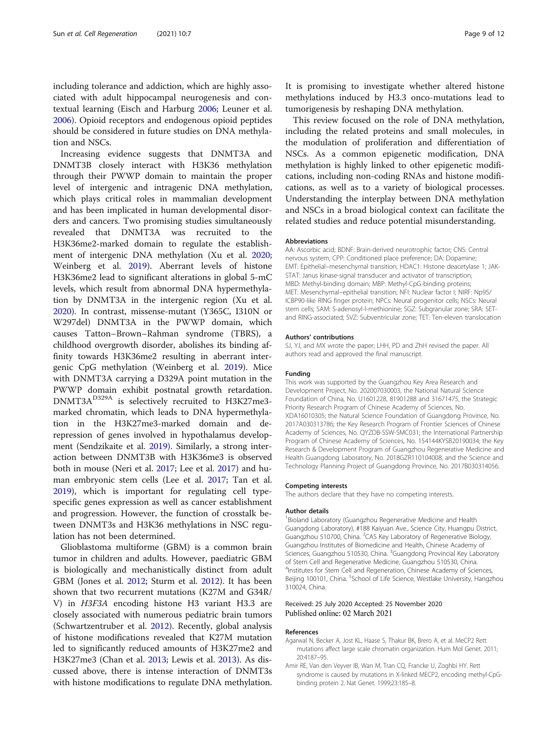<span id="page-8-0"></span>including tolerance and addiction, which are highly associated with adult hippocampal neurogenesis and contextual learning (Eisch and Harburg [2006](#page-9-0); Leuner et al. [2006](#page-10-0)). Opioid receptors and endogenous opioid peptides should be considered in future studies on DNA methylation and NSCs.

Increasing evidence suggests that DNMT3A and DNMT3B closely interact with H3K36 methylation through their PWWP domain to maintain the proper level of intergenic and intragenic DNA methylation, which plays critical roles in mammalian development and has been implicated in human developmental disorders and cancers. Two promising studies simultaneously revealed that DNMT3A was recruited to the H3K36me2-marked domain to regulate the establishment of intergenic DNA methylation (Xu et al. [2020](#page-11-0); Weinberg et al. [2019\)](#page-11-0). Aberrant levels of histone H3K36me2 lead to significant alterations in global 5-mC levels, which result from abnormal DNA hypermethylation by DNMT3A in the intergenic region (Xu et al. [2020](#page-11-0)). In contrast, missense-mutant (Y365C, I310N or W297del) DNMT3A in the PWWP domain, which causes Tatton–Brown–Rahman syndrome (TBRS), a childhood overgrowth disorder, abolishes its binding affinity towards H3K36me2 resulting in aberrant intergenic CpG methylation (Weinberg et al. [2019](#page-11-0)). Mice with DNMT3A carrying a D329A point mutation in the PWWP domain exhibit postnatal growth retardation. DNMT3A<sup>D329A</sup> is selectively recruited to H3K27me3marked chromatin, which leads to DNA hypermethylation in the H3K27me3-marked domain and derepression of genes involved in hypothalamus development (Sendzikaite et al. [2019\)](#page-10-0). Similarly, a strong interaction between DNMT3B with H3K36me3 is observed both in mouse (Neri et al. [2017;](#page-10-0) Lee et al. [2017\)](#page-10-0) and human embryonic stem cells (Lee et al. [2017](#page-10-0); Tan et al. [2019](#page-10-0)), which is important for regulating cell typespecific genes expression as well as cancer establishment and progression. However, the function of crosstalk between DNMT3s and H3K36 methylations in NSC regulation has not been determined.

Glioblastoma multiforme (GBM) is a common brain tumor in children and adults. However, paediatric GBM is biologically and mechanistically distinct from adult GBM (Jones et al. [2012](#page-9-0); Sturm et al. [2012](#page-10-0)). It has been shown that two recurrent mutations (K27M and G34R/ V) in H3F3A encoding histone H3 variant H3.3 are closely associated with numerous pediatric brain tumors (Schwartzentruber et al. [2012\)](#page-10-0). Recently, global analysis of histone modifications revealed that K27M mutation led to significantly reduced amounts of H3K27me2 and H3K27me3 (Chan et al. [2013;](#page-9-0) Lewis et al. [2013\)](#page-10-0). As discussed above, there is intense interaction of DNMT3s with histone modifications to regulate DNA methylation. It is promising to investigate whether altered histone methylations induced by H3.3 onco-mutations lead to tumorigenesis by reshaping DNA methylation.

This review focused on the role of DNA methylation, including the related proteins and small molecules, in the modulation of proliferation and differentiation of NSCs. As a common epigenetic modification, DNA methylation is highly linked to other epigenetic modifications, including non-coding RNAs and histone modifications, as well as to a variety of biological processes. Understanding the interplay between DNA methylation and NSCs in a broad biological context can facilitate the related studies and reduce potential misunderstanding.

#### Abbreviations

AA: Ascorbic acid; BDNF: Brain-derived neurotrophic factor; CNS: Central nervous system; CPP: Conditioned place preference; DA: Dopamine; EMT: Epithelial–mesenchymal transition; HDAC1: Histone deacetylase 1; JAK-STAT: Janus kinase-signal transducer and activator of transcription; MBD: Methyl-binding domain; MBP: Methyl-CpG-binding proteins; MET: Mesenchymal–epithelial transition; NFI: Nuclear factor I; NIRF: Np95/ ICBP90-like RING finger protein; NPCs: Neural progenitor cells; NSCs: Neural stem cells; SAM: S-adenosyl-l-methionine; SGZ: Subgranular zone; SRA: SETand RING-associated; SVZ: Subventricular zone; TET: Ten-eleven translocation

#### Authors' contributions

SJ, YJ, and MX wrote the paper; LHH, PD and ZhH revised the paper. All authors read and approved the final manuscript.

#### Funding

This work was supported by the Guangzhou Key Area Research and Development Project, No. 202007030003, the National Natural Science Foundation of China, No. U1601228, 81901288 and 31671475, the Strategic Priority Research Program of Chinese Academy of Sciences, No. XDA16010305; the Natural Science Foundation of Guangdong Province, No. 2017A030313786; the Key Research Program of Frontier Sciences of Chinese Academy of Sciences, No. QYZDB-SSW-SMC031; the International Partnership Program of Chinese Academy of Sciences, No. 154144KYSB20190034; the Key Research & Development Program of Guangzhou Regenerative Medicine and Health Guangdong Laboratory, No. 2018GZR110104008, and the Science and Technology Planning Project of Guangdong Province, No. 2017B030314056.

#### Competing interests

The authors declare that they have no competing interests.

#### Author details

<sup>1</sup> Bioland Laboratory (Guangzhou Regenerative Medicine and Health Guangdong Laboratory), #188 Kaiyuan Ave., Science City, Huangpu District, Guangzhou 510700, China. <sup>2</sup>CAS Key Laboratory of Regenerative Biology, Guangzhou Institutes of Biomedicine and Health, Chinese Academy of Sciences, Guangzhou 510530, China. <sup>3</sup>Guangdong Provincial Key Laboratory of Stem Cell and Regenerative Medicine, Guangzhou 510530, China. 4 Institutes for Stem Cell and Regeneration, Chinese Academy of Sciences, Beijing 100101, China. <sup>5</sup>School of Life Science, Westlake University, Hangzhou 310024, China.

#### Received: 25 July 2020 Accepted: 25 November 2020 Published online: 02 March 2021

#### References

- Agarwal N, Becker A, Jost KL, Haase S, Thakur BK, Brero A, et al. MeCP2 Rett mutations affect large scale chromatin organization. Hum Mol Genet. 2011; 20:4187–95.
- Amir RE, Van den Veyver IB, Wan M, Tran CQ, Francke U, Zoghbi HY. Rett syndrome is caused by mutations in X-linked MECP2, encoding methyl-CpGbinding protein 2. Nat Genet. 1999;23:185–8.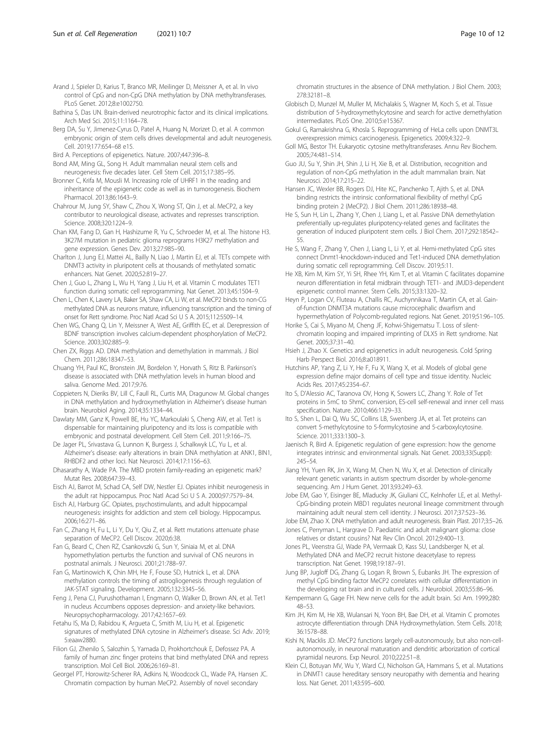- <span id="page-9-0"></span>Bathina S, Das UN. Brain-derived neurotrophic factor and its clinical implications. Arch Med Sci. 2015;11:1164–78.
- Berg DA, Su Y, Jimenez-Cyrus D, Patel A, Huang N, Morizet D, et al. A common embryonic origin of stem cells drives developmental and adult neurogenesis. Cell. 2019;177:654–68 e15.
- Bird A. Perceptions of epigenetics. Nature. 2007;447:396–8.
- Bond AM, Ming GL, Song H. Adult mammalian neural stem cells and neurogenesis: five decades later. Cell Stem Cell. 2015;17:385–95.
- Bronner C, Krifa M, Mousli M. Increasing role of UHRF1 in the reading and inheritance of the epigenetic code as well as in tumorogenesis. Biochem Pharmacol. 2013;86:1643–9.
- Chahrour M, Jung SY, Shaw C, Zhou X, Wong ST, Qin J, et al. MeCP2, a key contributor to neurological disease, activates and represses transcription. Science. 2008;320:1224–9.
- Chan KM, Fang D, Gan H, Hashizume R, Yu C, Schroeder M, et al. The histone H3. 3K27M mutation in pediatric glioma reprograms H3K27 methylation and gene expression. Genes Dev. 2013;27:985–90.
- Charlton J, Jung EJ, Mattei AL, Bailly N, Liao J, Martin EJ, et al. TETs compete with DNMT3 activity in pluripotent cells at thousands of methylated somatic enhancers. Nat Genet. 2020;52:819–27.
- Chen J, Guo L, Zhang L, Wu H, Yang J, Liu H, et al. Vitamin C modulates TET1 function during somatic cell reprogramming. Nat Genet. 2013;45:1504–9.
- Chen L, Chen K, Lavery LA, Baker SA, Shaw CA, Li W, et al. MeCP2 binds to non-CG methylated DNA as neurons mature, influencing transcription and the timing of onset for Rett syndrome. Proc Natl Acad Sci U S A. 2015;112:5509–14.
- Chen WG, Chang Q, Lin Y, Meissner A, West AE, Griffith EC, et al. Derepression of BDNF transcription involves calcium-dependent phosphorylation of MeCP2. Science. 2003;302:885–9.
- Chen ZX, Riggs AD. DNA methylation and demethylation in mammals. J Biol Chem. 2011;286:18347–53.
- Chuang YH, Paul KC, Bronstein JM, Bordelon Y, Horvath S, Ritz B. Parkinson's disease is associated with DNA methylation levels in human blood and saliva. Genome Med. 2017;9:76.
- Coppieters N, Dieriks BV, Lill C, Faull RL, Curtis MA, Dragunow M. Global changes in DNA methylation and hydroxymethylation in Alzheimer's disease human brain. Neurobiol Aging. 2014;35:1334–44.
- Dawlaty MM, Ganz K, Powell BE, Hu YC, Markoulaki S, Cheng AW, et al. Tet1 is dispensable for maintaining pluripotency and its loss is compatible with embryonic and postnatal development. Cell Stem Cell. 2011;9:166–75.
- De Jager PL, Srivastava G, Lunnon K, Burgess J, Schalkwyk LC, Yu L, et al. Alzheimer's disease: early alterations in brain DNA methylation at ANK1, BIN1, RHBDF2 and other loci. Nat Neurosci. 2014;17:1156–63.
- Dhasarathy A, Wade PA. The MBD protein family-reading an epigenetic mark? Mutat Res. 2008;647:39–43.
- Eisch AJ, Barrot M, Schad CA, Self DW, Nestler EJ. Opiates inhibit neurogenesis in the adult rat hippocampus. Proc Natl Acad Sci U S A. 2000;97:7579–84.
- Eisch AJ, Harburg GC. Opiates, psychostimulants, and adult hippocampal neurogenesis: insights for addiction and stem cell biology. Hippocampus. 2006;16:271–86.
- Fan C, Zhang H, Fu L, Li Y, Du Y, Qiu Z, et al. Rett mutations attenuate phase separation of MeCP2. Cell Discov. 2020;6:38.
- Fan G, Beard C, Chen RZ, Csankovszki G, Sun Y, Siniaia M, et al. DNA hypomethylation perturbs the function and survival of CNS neurons in postnatal animals. J Neurosci. 2001;21:788–97.
- Fan G, Martinowich K, Chin MH, He F, Fouse SD, Hutnick L, et al. DNA methylation controls the timing of astrogliogenesis through regulation of JAK-STAT signaling. Development. 2005;132:3345–56.
- Feng J, Pena CJ, Purushothaman I, Engmann O, Walker D, Brown AN, et al. Tet1 in nucleus Accumbens opposes depression- and anxiety-like behaviors. Neuropsychopharmacology. 2017;42:1657–69.
- Fetahu IS, Ma D, Rabidou K, Argueta C, Smith M, Liu H, et al. Epigenetic signatures of methylated DNA cytosine in Alzheimer's disease. Sci Adv. 2019; 5:eaaw2880.
- Filion GJ, Zhenilo S, Salozhin S, Yamada D, Prokhortchouk E, Defossez PA. A family of human zinc finger proteins that bind methylated DNA and repress transcription. Mol Cell Biol. 2006;26:169–81.
- Georgel PT, Horowitz-Scherer RA, Adkins N, Woodcock CL, Wade PA, Hansen JC. Chromatin compaction by human MeCP2. Assembly of novel secondary

chromatin structures in the absence of DNA methylation. J Biol Chem. 2003; 278:32181–8.

- Globisch D, Munzel M, Muller M, Michalakis S, Wagner M, Koch S, et al. Tissue distribution of 5-hydroxymethylcytosine and search for active demethylation intermediates. PLoS One. 2010;5:e15367.
- Gokul G, Ramakrishna G, Khosla S. Reprogramming of HeLa cells upon DNMT3L overexpression mimics carcinogenesis. Epigenetics. 2009;4:322–9.
- Goll MG, Bestor TH. Eukaryotic cytosine methyltransferases. Annu Rev Biochem. 2005;74:481–514.
- Guo JU, Su Y, Shin JH, Shin J, Li H, Xie B, et al. Distribution, recognition and regulation of non-CpG methylation in the adult mammalian brain. Nat Neurosci. 2014;17:215–22.
- Hansen JC, Wexler BB, Rogers DJ, Hite KC, Panchenko T, Ajith S, et al. DNA binding restricts the intrinsic conformational flexibility of methyl CpG binding protein 2 (MeCP2). J Biol Chem. 2011;286:18938–48.
- He S, Sun H, Lin L, Zhang Y, Chen J, Liang L, et al. Passive DNA demethylation preferentially up-regulates pluripotency-related genes and facilitates the generation of induced pluripotent stem cells. J Biol Chem. 2017;292:18542– 55.
- He S, Wang F, Zhang Y, Chen J, Liang L, Li Y, et al. Hemi-methylated CpG sites connect Dnmt1-knockdown-induced and Tet1-induced DNA demethylation during somatic cell reprogramming. Cell Discov. 2019;5:11.
- He XB, Kim M, Kim SY, Yi SH, Rhee YH, Kim T, et al. Vitamin C facilitates dopamine neuron differentiation in fetal midbrain through TET1- and JMJD3-dependent epigenetic control manner. Stem Cells. 2015;33:1320–32.
- Heyn P, Logan CV, Fluteau A, Challis RC, Auchynnikava T, Martin CA, et al. Gainof-function DNMT3A mutations cause microcephalic dwarfism and hypermethylation of Polycomb-regulated regions. Nat Genet. 2019;51:96–105.
- Horike S, Cai S, Miyano M, Cheng JF, Kohwi-Shigematsu T. Loss of silentchromatin looping and impaired imprinting of DLX5 in Rett syndrome. Nat Genet. 2005;37:31–40.
- Hsieh J, Zhao X. Genetics and epigenetics in adult neurogenesis. Cold Spring Harb Perspect Biol. 2016;8:a018911.
- Hutchins AP, Yang Z, Li Y, He F, Fu X, Wang X, et al. Models of global gene expression define major domains of cell type and tissue identity. Nucleic Acids Res. 2017;45:2354–67.
- Ito S, D'Alessio AC, Taranova OV, Hong K, Sowers LC, Zhang Y. Role of Tet proteins in 5mC to 5hmC conversion, ES-cell self-renewal and inner cell mass specification. Nature. 2010;466:1129–33.
- Ito S, Shen L, Dai Q, Wu SC, Collins LB, Swenberg JA, et al. Tet proteins can convert 5-methylcytosine to 5-formylcytosine and 5-carboxylcytosine. Science. 2011;333:1300–3.
- Jaenisch R, Bird A. Epigenetic regulation of gene expression: how the genome integrates intrinsic and environmental signals. Nat Genet. 2003;33(Suppl): 245–54.
- Jiang YH, Yuen RK, Jin X, Wang M, Chen N, Wu X, et al. Detection of clinically relevant genetic variants in autism spectrum disorder by whole-genome sequencing. Am J Hum Genet. 2013;93:249–63.
- Jobe EM, Gao Y, Eisinger BE, Mladucky JK, Giuliani CC, Kelnhofer LE, et al. Methyl-CpG-binding protein MBD1 regulates neuronal lineage commitment through maintaining adult neural stem cell identity. J Neurosci. 2017;37:523–36.
- Jobe EM, Zhao X. DNA methylation and adult neurogenesis. Brain Plast. 2017;3:5–26. Jones C, Perryman L, Hargrave D. Paediatric and adult malignant glioma: close
- relatives or distant cousins? Nat Rev Clin Oncol. 2012;9:400–13. Jones PL, Veenstra GJ, Wade PA, Vermaak D, Kass SU, Landsberger N, et al.
- Methylated DNA and MeCP2 recruit histone deacetylase to repress transcription. Nat Genet. 1998;19:187–91.
- Jung BP, Jugloff DG, Zhang G, Logan R, Brown S, Eubanks JH. The expression of methyl CpG binding factor MeCP2 correlates with cellular differentiation in the developing rat brain and in cultured cells. J Neurobiol. 2003;55:86–96.
- Kempermann G, Gage FH. New nerve cells for the adult brain. Sci Am. 1999;280: 48–53.
- Kim JH, Kim M, He XB, Wulansari N, Yoon BH, Bae DH, et al. Vitamin C promotes astrocyte differentiation through DNA Hydroxymethylation. Stem Cells. 2018; 36:1578–88.
- Kishi N, Macklis JD. MeCP2 functions largely cell-autonomously, but also non-cellautonomously, in neuronal maturation and dendritic arborization of cortical pyramidal neurons. Exp Neurol. 2010;222:51–8.
- Klein CJ, Botuyan MV, Wu Y, Ward CJ, Nicholson GA, Hammans S, et al. Mutations in DNMT1 cause hereditary sensory neuropathy with dementia and hearing loss. Nat Genet. 2011;43:595–600.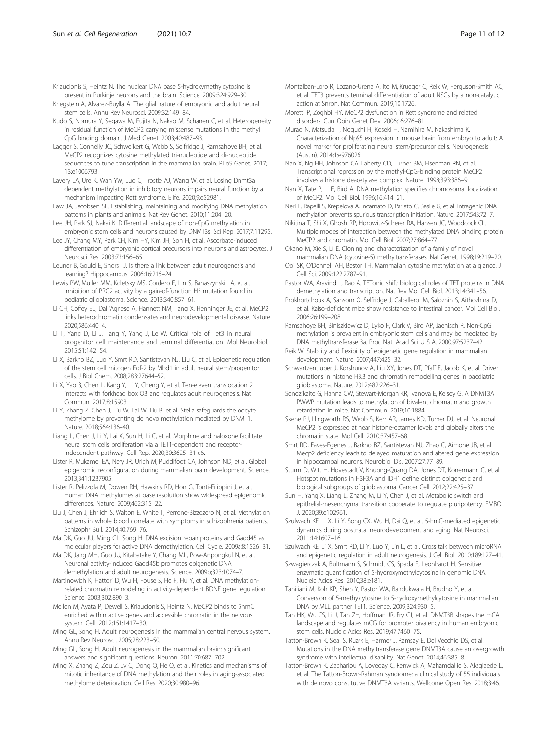<span id="page-10-0"></span>Kriaucionis S, Heintz N. The nuclear DNA base 5-hydroxymethylcytosine is present in Purkinje neurons and the brain. Science. 2009;324:929–30.

Kriegstein A, Alvarez-Buylla A. The glial nature of embryonic and adult neural stem cells. Annu Rev Neurosci. 2009;32:149–84.

- Kudo S, Nomura Y, Segawa M, Fujita N, Nakao M, Schanen C, et al. Heterogeneity in residual function of MeCP2 carrying missense mutations in the methyl CpG binding domain. J Med Genet. 2003;40:487–93.
- Lagger S, Connelly JC, Schweikert G, Webb S, Selfridge J, Ramsahoye BH, et al. MeCP2 recognizes cytosine methylated tri-nucleotide and di-nucleotide sequences to tune transcription in the mammalian brain. PLoS Genet. 2017; 13:e1006793.
- Lavery LA, Ure K, Wan YW, Luo C, Trostle AJ, Wang W, et al. Losing Dnmt3a dependent methylation in inhibitory neurons impairs neural function by a mechanism impacting Rett syndrome. Elife. 2020;9:e52981.
- Law JA, Jacobsen SE. Establishing, maintaining and modifying DNA methylation patterns in plants and animals. Nat Rev Genet. 2010;11:204–20.
- Lee JH, Park SJ, Nakai K. Differential landscape of non-CpG methylation in embryonic stem cells and neurons caused by DNMT3s. Sci Rep. 2017;7:11295.
- Lee JY, Chang MY, Park CH, Kim HY, Kim JH, Son H, et al. Ascorbate-induced differentiation of embryonic cortical precursors into neurons and astrocytes. J Neurosci Res. 2003;73:156–65.
- Leuner B, Gould E, Shors TJ. Is there a link between adult neurogenesis and learning? Hippocampus. 2006;16:216–24.
- Lewis PW, Muller MM, Koletsky MS, Cordero F, Lin S, Banaszynski LA, et al. Inhibition of PRC2 activity by a gain-of-function H3 mutation found in pediatric glioblastoma. Science. 2013;340:857–61.
- Li CH, Coffey EL, Dall'Agnese A, Hannett NM, Tang X, Henninger JE, et al. MeCP2 links heterochromatin condensates and neurodevelopmental disease. Nature. 2020;586:440–4.
- Li T, Yang D, Li J, Tang Y, Yang J, Le W. Critical role of Tet3 in neural progenitor cell maintenance and terminal differentiation. Mol Neurobiol. 2015;51:142–54.
- Li X, Barkho BZ, Luo Y, Smrt RD, Santistevan NJ, Liu C, et al. Epigenetic regulation of the stem cell mitogen Fgf-2 by Mbd1 in adult neural stem/progenitor cells. J Biol Chem. 2008;283:27644–52.
- Li X, Yao B, Chen L, Kang Y, Li Y, Cheng Y, et al. Ten-eleven translocation 2 interacts with forkhead box O3 and regulates adult neurogenesis. Nat Commun. 2017;8:15903.
- Li Y, Zhang Z, Chen J, Liu W, Lai W, Liu B, et al. Stella safeguards the oocyte methylome by preventing de novo methylation mediated by DNMT1. Nature. 2018;564:136–40.
- Liang L, Chen J, Li Y, Lai X, Sun H, Li C, et al. Morphine and naloxone facilitate neural stem cells proliferation via a TET1-dependent and receptorindependent pathway. Cell Rep. 2020;30:3625–31 e6.
- Lister R, Mukamel EA, Nery JR, Urich M, Puddifoot CA, Johnson ND, et al. Global epigenomic reconfiguration during mammalian brain development. Science. 2013;341:1237905.
- Lister R, Pelizzola M, Dowen RH, Hawkins RD, Hon G, Tonti-Filippini J, et al. Human DNA methylomes at base resolution show widespread epigenomic differences. Nature. 2009;462:315–22.
- Liu J, Chen J, Ehrlich S, Walton E, White T, Perrone-Bizzozero N, et al. Methylation patterns in whole blood correlate with symptoms in schizophrenia patients. Schizophr Bull. 2014;40:769–76.
- Ma DK, Guo JU, Ming GL, Song H. DNA excision repair proteins and Gadd45 as molecular players for active DNA demethylation. Cell Cycle. 2009a;8:1526–31.
- Ma DK, Jang MH, Guo JU, Kitabatake Y, Chang ML, Pow-Anpongkul N, et al. Neuronal activity-induced Gadd45b promotes epigenetic DNA demethylation and adult neurogenesis. Science. 2009b;323:1074–7.
- Martinowich K, Hattori D, Wu H, Fouse S, He F, Hu Y, et al. DNA methylationrelated chromatin remodeling in activity-dependent BDNF gene regulation. Science. 2003;302:890–3.
- Mellen M, Ayata P, Dewell S, Kriaucionis S, Heintz N. MeCP2 binds to 5hmC enriched within active genes and accessible chromatin in the nervous system. Cell. 2012;151:1417–30.
- Ming GL, Song H. Adult neurogenesis in the mammalian central nervous system. Annu Rev Neurosci. 2005;28:223–50.
- Ming GL, Song H. Adult neurogenesis in the mammalian brain: significant answers and significant questions. Neuron. 2011;70:687–702.
- Ming X, Zhang Z, Zou Z, Lv C, Dong Q, He Q, et al. Kinetics and mechanisms of mitotic inheritance of DNA methylation and their roles in aging-associated methylome deterioration. Cell Res. 2020;30:980–96.
- Montalban-Loro R, Lozano-Urena A, Ito M, Krueger C, Reik W, Ferguson-Smith AC, et al. TET3 prevents terminal differentiation of adult NSCs by a non-catalytic action at Snrpn. Nat Commun. 2019;10:1726.
- Moretti P, Zoghbi HY. MeCP2 dysfunction in Rett syndrome and related disorders. Curr Opin Genet Dev. 2006;16:276–81.
- Murao N, Matsuda T, Noguchi H, Koseki H, Namihira M, Nakashima K. Characterization of Np95 expression in mouse brain from embryo to adult: A novel marker for proliferating neural stem/precursor cells. Neurogenesis (Austin). 2014;1:e976026.
- Nan X, Ng HH, Johnson CA, Laherty CD, Turner BM, Eisenman RN, et al. Transcriptional repression by the methyl-CpG-binding protein MeCP2 involves a histone deacetylase complex. Nature. 1998;393:386–9.
- Nan X, Tate P, Li E, Bird A. DNA methylation specifies chromosomal localization of MeCP2. Mol Cell Biol. 1996;16:414–21.
- Neri F, Rapelli S, Krepelova A, Incarnato D, Parlato C, Basile G, et al. Intragenic DNA methylation prevents spurious transcription initiation. Nature. 2017;543:72–7.
- Nikitina T, Shi X, Ghosh RP, Horowitz-Scherer RA, Hansen JC, Woodcock CL. Multiple modes of interaction between the methylated DNA binding protein MeCP2 and chromatin. Mol Cell Biol. 2007;27:864–77.
- Okano M, Xie S, Li E. Cloning and characterization of a family of novel mammalian DNA (cytosine-5) methyltransferases. Nat Genet. 1998;19:219–20.
- Ooi SK, O'Donnell AH, Bestor TH. Mammalian cytosine methylation at a glance. J Cell Sci. 2009;122:2787–91.
- Pastor WA, Aravind L, Rao A. TETonic shift: biological roles of TET proteins in DNA demethylation and transcription. Nat Rev Mol Cell Biol. 2013;14:341–56.
- Prokhortchouk A, Sansom O, Selfridge J, Caballero IM, Salozhin S, Aithozhina D, et al. Kaiso-deficient mice show resistance to intestinal cancer. Mol Cell Biol. 2006;26:199–208.
- Ramsahoye BH, Biniszkiewicz D, Lyko F, Clark V, Bird AP, Jaenisch R. Non-CpG methylation is prevalent in embryonic stem cells and may be mediated by DNA methyltransferase 3a. Proc Natl Acad Sci U S A. 2000;97:5237–42.
- Reik W. Stability and flexibility of epigenetic gene regulation in mammalian development. Nature. 2007;447:425–32.
- Schwartzentruber J, Korshunov A, Liu XY, Jones DT, Pfaff E, Jacob K, et al. Driver mutations in histone H3.3 and chromatin remodelling genes in paediatric glioblastoma. Nature. 2012;482:226–31.
- Sendzikaite G, Hanna CW, Stewart-Morgan KR, Ivanova E, Kelsey G. A DNMT3A PWWP mutation leads to methylation of bivalent chromatin and growth retardation in mice. Nat Commun. 2019;10:1884.
- Skene PJ, Illingworth RS, Webb S, Kerr AR, James KD, Turner DJ, et al. Neuronal MeCP2 is expressed at near histone-octamer levels and globally alters the chromatin state. Mol Cell. 2010;37:457–68.
- Smrt RD, Eaves-Egenes J, Barkho BZ, Santistevan NJ, Zhao C, Aimone JB, et al. Mecp2 deficiency leads to delayed maturation and altered gene expression in hippocampal neurons. Neurobiol Dis. 2007;27:77–89.
- Sturm D, Witt H, Hovestadt V, Khuong-Quang DA, Jones DT, Konermann C, et al. Hotspot mutations in H3F3A and IDH1 define distinct epigenetic and biological subgroups of glioblastoma. Cancer Cell. 2012;22:425–37.
- Sun H, Yang X, Liang L, Zhang M, Li Y, Chen J, et al. Metabolic switch and epithelial-mesenchymal transition cooperate to regulate pluripotency. EMBO J. 2020;39:e102961.
- Szulwach KE, Li X, Li Y, Song CX, Wu H, Dai Q, et al. 5-hmC-mediated epigenetic dynamics during postnatal neurodevelopment and aging. Nat Neurosci. 2011;14:1607–16.
- Szulwach KE, Li X, Smrt RD, Li Y, Luo Y, Lin L, et al. Cross talk between microRNA and epigenetic regulation in adult neurogenesis. J Cell Biol. 2010;189:127–41.
- Szwagierczak A, Bultmann S, Schmidt CS, Spada F, Leonhardt H. Sensitive enzymatic quantification of 5-hydroxymethylcytosine in genomic DNA. Nucleic Acids Res. 2010;38:e181.
- Tahiliani M, Koh KP, Shen Y, Pastor WA, Bandukwala H, Brudno Y, et al. Conversion of 5-methylcytosine to 5-hydroxymethylcytosine in mammalian DNA by MLL partner TET1. Science. 2009;324:930–5.
- Tan HK, Wu CS, Li J, Tan ZH, Hoffman JR, Fry CJ, et al. DNMT3B shapes the mCA landscape and regulates mCG for promoter bivalency in human embryonic stem cells. Nucleic Acids Res. 2019;47:7460–75.
- Tatton-Brown K, Seal S, Ruark E, Harmer J, Ramsay E, Del Vecchio DS, et al. Mutations in the DNA methyltransferase gene DNMT3A cause an overgrowth syndrome with intellectual disability. Nat Genet. 2014;46:385–8.
- Tatton-Brown K, Zachariou A, Loveday C, Renwick A, Mahamdallie S, Aksglaede L, et al. The Tatton-Brown-Rahman syndrome: a clinical study of 55 individuals with de novo constitutive DNMT3A variants. Wellcome Open Res. 2018;3:46.